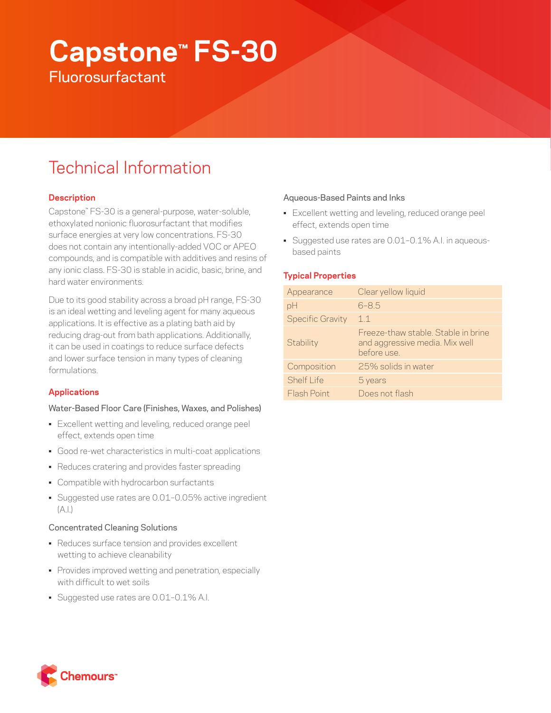# **Capstone™ FS-30 Fluorosurfactant**

## Technical Information

## **Description**

Capstone™ FS-30 is a general-purpose, water-soluble, ethoxylated nonionic fluorosurfactant that modifies surface energies at very low concentrations. FS-30 does not contain any intentionally-added VOC or APEO compounds, and is compatible with additives and resins of any ionic class. FS-30 is stable in acidic, basic, brine, and hard water environments.

Due to its good stability across a broad pH range, FS-30 is an ideal wetting and leveling agent for many aqueous applications. It is effective as a plating bath aid by reducing drag-out from bath applications. Additionally, it can be used in coatings to reduce surface defects and lower surface tension in many types of cleaning formulations.

## **Applications**

## Water-Based Floor Care (Finishes, Waxes, and Polishes)

- Excellent wetting and leveling, reduced orange peel effect, extends open time
- Good re-wet characteristics in multi-coat applications
- Reduces cratering and provides faster spreading
- Compatible with hydrocarbon surfactants
- Suggested use rates are 0.01–0.05% active ingredient  $(A.|.)$

## Concentrated Cleaning Solutions

- Reduces surface tension and provides excellent wetting to achieve cleanability
- Provides improved wetting and penetration, especially with difficult to wet soils
- Suggested use rates are 0.01–0.1% A.I.

### Aqueous-Based Paints and Inks

- Excellent wetting and leveling, reduced orange peel effect, extends open time
- Suggested use rates are 0.01–0.1% A.I. in aqueousbased paints

## **Typical Properties**

| Appearance              | Clear yellow liquid                                                                  |
|-------------------------|--------------------------------------------------------------------------------------|
| pH                      | $6 - 8.5$                                                                            |
| <b>Specific Gravity</b> | 11                                                                                   |
| Stability               | Freeze-thaw stable. Stable in brine<br>and aggressive media. Mix well<br>before use. |
| Composition             | 25% solids in water                                                                  |
| Shelf I ife             | 5 years                                                                              |
| <b>Flash Point</b>      | Does not flash                                                                       |